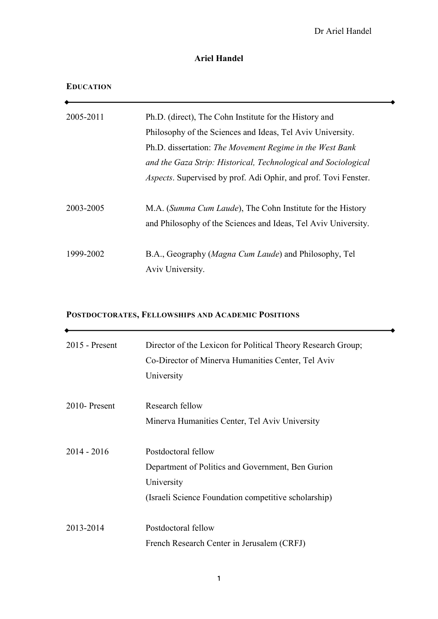Dr Ariel Handel

 $\overline{\phantom{a}}$ 

 $\overline{\phantom{a}}$ 

# **Ariel Handel**

## **EDUCATION**

 $\begin{array}{ccc} \uparrow & \downarrow & \downarrow \end{array}$ 

 $\bullet$ 

| 2005-2011 | Ph.D. (direct), The Cohn Institute for the History and                  |
|-----------|-------------------------------------------------------------------------|
|           | Philosophy of the Sciences and Ideas, Tel Aviv University.              |
|           | Ph.D. dissertation: The Movement Regime in the West Bank                |
|           | and the Gaza Strip: Historical, Technological and Sociological          |
|           | <i>Aspects</i> . Supervised by prof. Adi Ophir, and prof. Tovi Fenster. |
|           |                                                                         |
| 2003-2005 | M.A. (Summa Cum Laude), The Cohn Institute for the History              |
|           | and Philosophy of the Sciences and Ideas, Tel Aviv University.          |
|           |                                                                         |
| 1999-2002 | B.A., Geography (Magna Cum Laude) and Philosophy, Tel                   |
|           | Aviv University.                                                        |

# **POSTDOCTORATES, FELLOWSHIPS AND ACADEMIC POSITIONS**

| 2015 - Present | Director of the Lexicon for Political Theory Research Group;<br>Co-Director of Minerva Humanities Center, Tel Aviv<br>University               |
|----------------|------------------------------------------------------------------------------------------------------------------------------------------------|
| 2010-Present   | Research fellow<br>Minerva Humanities Center, Tel Aviv University                                                                              |
| $2014 - 2016$  | Postdoctoral fellow<br>Department of Politics and Government, Ben Gurion<br>University<br>(Israeli Science Foundation competitive scholarship) |
| 2013-2014      | Postdoctoral fellow<br>French Research Center in Jerusalem (CRFJ)                                                                              |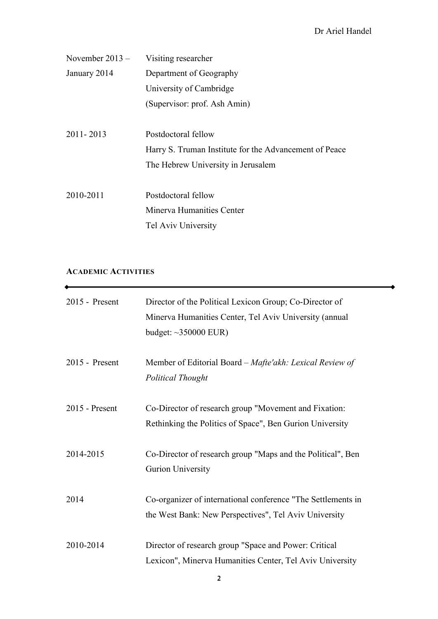| November $2013 -$ | Visiting researcher                                    |
|-------------------|--------------------------------------------------------|
| January 2014      | Department of Geography                                |
|                   | University of Cambridge                                |
|                   | (Supervisor: prof. Ash Amin)                           |
|                   |                                                        |
| $2011 - 2013$     | Postdoctoral fellow                                    |
|                   | Harry S. Truman Institute for the Advancement of Peace |
|                   | The Hebrew University in Jerusalem                     |
|                   |                                                        |
| 2010-2011         | Postdoctoral fellow                                    |
|                   | Minerva Humanities Center                              |
|                   | Tel Aviv University                                    |

## **ACADEMIC ACTIVITIES**

 $\bullet$ 

| $2015$ - Present | Director of the Political Lexicon Group; Co-Director of<br>Minerva Humanities Center, Tel Aviv University (annual<br>budget: $\sim$ 350000 EUR) |
|------------------|-------------------------------------------------------------------------------------------------------------------------------------------------|
| 2015 - Present   | Member of Editorial Board – Mafte'akh: Lexical Review of<br><b>Political Thought</b>                                                            |
| $2015$ - Present | Co-Director of research group "Movement and Fixation:<br>Rethinking the Politics of Space", Ben Gurion University                               |
| 2014-2015        | Co-Director of research group "Maps and the Political", Ben<br>Gurion University                                                                |
| 2014             | Co-organizer of international conference "The Settlements in<br>the West Bank: New Perspectives", Tel Aviv University                           |
| 2010-2014        | Director of research group "Space and Power: Critical<br>Lexicon", Minerva Humanities Center, Tel Aviv University                               |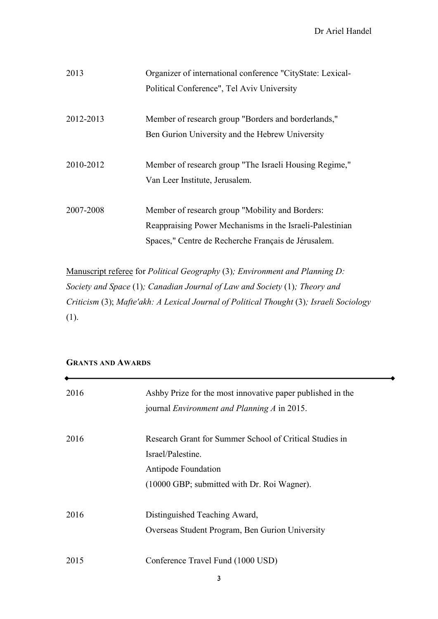Dr Ariel Handel

| 2013      | Organizer of international conference "CityState: Lexical- |
|-----------|------------------------------------------------------------|
|           | Political Conference", Tel Aviv University                 |
|           |                                                            |
| 2012-2013 | Member of research group "Borders and borderlands,"        |
|           | Ben Gurion University and the Hebrew University            |
|           |                                                            |
| 2010-2012 | Member of research group "The Israeli Housing Regime,"     |
|           | Van Leer Institute, Jerusalem.                             |
|           |                                                            |
| 2007-2008 | Member of research group "Mobility and Borders:            |
|           | Reappraising Power Mechanisms in the Israeli-Palestinian   |
|           | Spaces," Centre de Recherche Français de Jérusalem.        |

Manuscript referee for *Political Geography* (3)*; Environment and Planning D: Society and Space* (1)*; Canadian Journal of Law and Society* (1)*; Theory and Criticism* (3); *Mafte'akh: A Lexical Journal of Political Thought* (3)*; Israeli Sociology*  (1).

## **GRANTS AND AWARDS**

| 2016 | Ashby Prize for the most innovative paper published in the<br>journal <i>Environment and Planning A</i> in 2015.                                   |
|------|----------------------------------------------------------------------------------------------------------------------------------------------------|
| 2016 | Research Grant for Summer School of Critical Studies in<br>Israel/Palestine.<br>Antipode Foundation<br>(10000 GBP; submitted with Dr. Roi Wagner). |
| 2016 | Distinguished Teaching Award,<br>Overseas Student Program, Ben Gurion University                                                                   |
| 2015 | Conference Travel Fund (1000 USD)                                                                                                                  |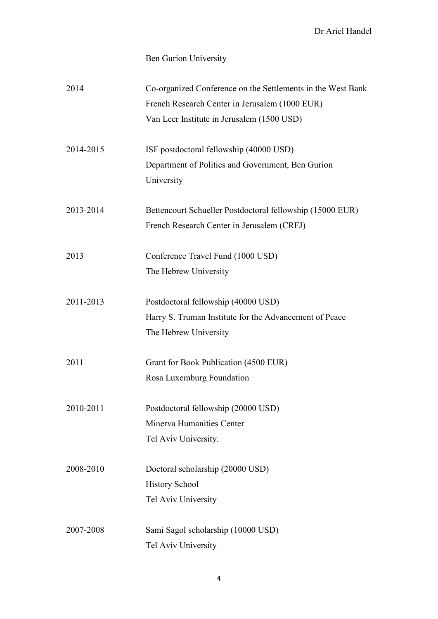# Ben Gurion University

| 2014      | Co-organized Conference on the Settlements in the West Bank |
|-----------|-------------------------------------------------------------|
|           | French Research Center in Jerusalem (1000 EUR)              |
|           | Van Leer Institute in Jerusalem (1500 USD)                  |
| 2014-2015 | ISF postdoctoral fellowship (40000 USD)                     |
|           | Department of Politics and Government, Ben Gurion           |
|           | University                                                  |
| 2013-2014 | Bettencourt Schueller Postdoctoral fellowship (15000 EUR)   |
|           | French Research Center in Jerusalem (CRFJ)                  |
| 2013      | Conference Travel Fund (1000 USD)                           |
|           | The Hebrew University                                       |
| 2011-2013 | Postdoctoral fellowship (40000 USD)                         |
|           | Harry S. Truman Institute for the Advancement of Peace      |
|           | The Hebrew University                                       |
| 2011      | Grant for Book Publication (4500 EUR)                       |
|           | Rosa Luxemburg Foundation                                   |
| 2010-2011 | Postdoctoral fellowship (20000 USD)                         |
|           | Minerva Humanities Center                                   |
|           | Tel Aviv University.                                        |
| 2008-2010 | Doctoral scholarship (20000 USD)                            |
|           | <b>History School</b>                                       |
|           | Tel Aviv University                                         |
| 2007-2008 | Sami Sagol scholarship (10000 USD)                          |
|           | Tel Aviv University                                         |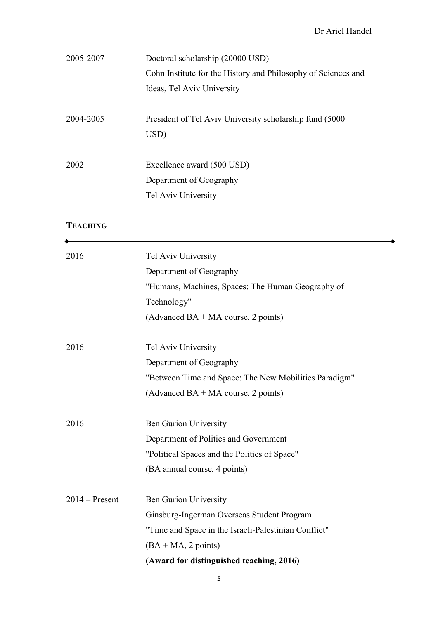$\overline{\phantom{a}}$ 

| 2005-2007 | Doctoral scholarship (20000 USD)                              |
|-----------|---------------------------------------------------------------|
|           | Cohn Institute for the History and Philosophy of Sciences and |
|           | Ideas, Tel Aviv University                                    |
|           |                                                               |
| 2004-2005 | President of Tel Aviv University scholarship fund (5000)      |
|           | USD)                                                          |
|           |                                                               |
| 2002      | Excellence award (500 USD)                                    |
|           | Department of Geography                                       |
|           | Tel Aviv University                                           |
|           |                                                               |

# **TEACHING**

 $\bullet$ 

| 2016             | Tel Aviv University                                   |
|------------------|-------------------------------------------------------|
|                  | Department of Geography                               |
|                  | "Humans, Machines, Spaces: The Human Geography of     |
|                  | Technology"                                           |
|                  | (Advanced BA + MA course, 2 points)                   |
|                  |                                                       |
| 2016             | Tel Aviv University                                   |
|                  | Department of Geography                               |
|                  | "Between Time and Space: The New Mobilities Paradigm" |
|                  | (Advanced BA + MA course, 2 points)                   |
|                  |                                                       |
| 2016             | <b>Ben Gurion University</b>                          |
|                  | Department of Politics and Government                 |
|                  | "Political Spaces and the Politics of Space"          |
|                  | (BA annual course, 4 points)                          |
| $2014 -$ Present | <b>Ben Gurion University</b>                          |
|                  |                                                       |
|                  | Ginsburg-Ingerman Overseas Student Program            |
|                  | "Time and Space in the Israeli-Palestinian Conflict"  |
|                  | $(BA + MA, 2 points)$                                 |
|                  | (Award for distinguished teaching, 2016)              |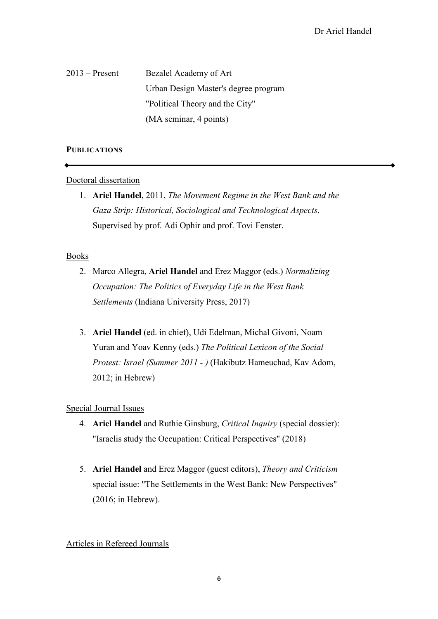2013 – Present Bezalel Academy of Art Urban Design Master's degree program "Political Theory and the City" (MA seminar, 4 points)

#### **PUBLICATIONS**

#### Doctoral dissertation

1. **Ariel Handel**, 2011, *The Movement Regime in the West Bank and the Gaza Strip: Historical, Sociological and Technological Aspects*. Supervised by prof. Adi Ophir and prof. Tovi Fenster.

#### Books

- 2. Marco Allegra, **Ariel Handel** and Erez Maggor (eds.) *Normalizing Occupation: The Politics of Everyday Life in the West Bank Settlements* (Indiana University Press, 2017)
- 3. **Ariel Handel** (ed. in chief), Udi Edelman, Michal Givoni, Noam Yuran and Yoav Kenny (eds.) *The Political Lexicon of the Social Protest: Israel (Summer 2011 - )* (Hakibutz Hameuchad, Kav Adom, 2012; in Hebrew)

## Special Journal Issues

- 4. **Ariel Handel** and Ruthie Ginsburg, *Critical Inquiry* (special dossier): "Israelis study the Occupation: Critical Perspectives" (2018)
- 5. **Ariel Handel** and Erez Maggor (guest editors), *Theory and Criticism* special issue: "The Settlements in the West Bank: New Perspectives" (2016; in Hebrew).

## Articles in Refereed Journals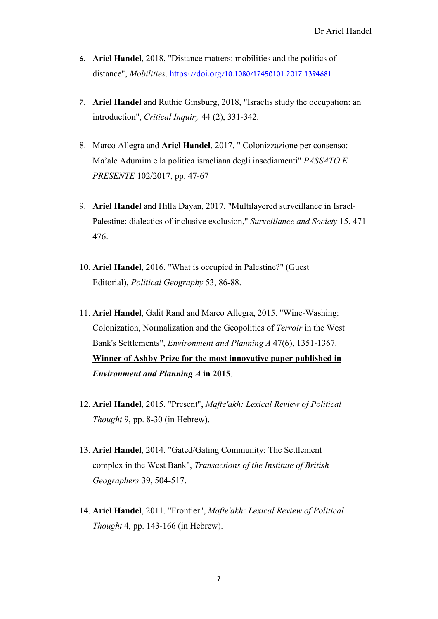- 6. **Ariel Handel**, 2018, "Distance matters: mobilities and the politics of distance", *Mobilities*. https://doi.org/10.1080/17450101.2017.1394681
- 7. **Ariel Handel** and Ruthie Ginsburg, 2018, "Israelis study the occupation: an introduction", *Critical Inquiry* 44 (2), 331-342.
- 8. Marco Allegra and **Ariel Handel**, 2017. " Colonizzazione per consenso: Ma'ale Adumim e la politica israeliana degli insediamenti" *PASSATO E PRESENTE* 102/2017, pp. 47-67
- 9. **Ariel Handel** and Hilla Dayan, 2017. "Multilayered surveillance in Israel-Palestine: dialectics of inclusive exclusion," *Surveillance and Society* 15, 471- 476**.**
- 10. **Ariel Handel**, 2016. "What is occupied in Palestine?" (Guest Editorial), *Political Geography* 53, 86-88.
- 11. **Ariel Handel**, Galit Rand and Marco Allegra, 2015. "Wine-Washing: Colonization, Normalization and the Geopolitics of *Terroir* in the West Bank's Settlements", *Environment and Planning A* 47(6), 1351-1367. **Winner of Ashby Prize for the most innovative paper published in**  *Environment and Planning A* **in 2015**.
- 12. **Ariel Handel**, 2015. "Present", *Mafte'akh: Lexical Review of Political Thought* 9, pp. 8-30 (in Hebrew).
- 13. **Ariel Handel**, 2014. "Gated/Gating Community: The Settlement complex in the West Bank", *Transactions of the Institute of British Geographers* 39, 504-517.
- 14. **Ariel Handel**, 2011. "Frontier", *Mafte'akh: Lexical Review of Political Thought* 4, pp. 143-166 (in Hebrew).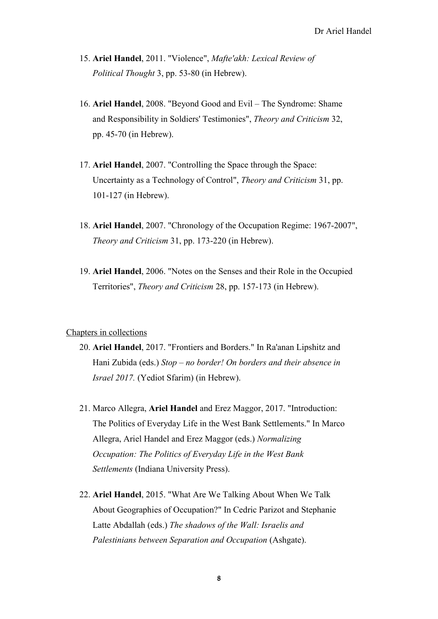- 15. **Ariel Handel**, 2011. "Violence", *Mafte'akh: Lexical Review of Political Thought* 3, pp. 53-80 (in Hebrew).
- 16. **Ariel Handel**, 2008. "Beyond Good and Evil The Syndrome: Shame and Responsibility in Soldiers' Testimonies", *Theory and Criticism* 32, pp. 45-70 (in Hebrew).
- 17. **Ariel Handel**, 2007. "Controlling the Space through the Space: Uncertainty as a Technology of Control", *Theory and Criticism* 31, pp. 101-127 (in Hebrew).
- 18. **Ariel Handel**, 2007. "Chronology of the Occupation Regime: 1967-2007", *Theory and Criticism* 31, pp. 173-220 (in Hebrew).
- 19. **Ariel Handel**, 2006. "Notes on the Senses and their Role in the Occupied Territories", *Theory and Criticism* 28, pp. 157-173 (in Hebrew).

#### Chapters in collections

- 20. **Ariel Handel**, 2017. "Frontiers and Borders." In Ra'anan Lipshitz and Hani Zubida (eds.) *Stop – no border! On borders and their absence in Israel 2017.* (Yediot Sfarim) (in Hebrew).
- 21. Marco Allegra, **Ariel Handel** and Erez Maggor, 2017. "Introduction: The Politics of Everyday Life in the West Bank Settlements." In Marco Allegra, Ariel Handel and Erez Maggor (eds.) *Normalizing Occupation: The Politics of Everyday Life in the West Bank Settlements* (Indiana University Press).
- 22. **Ariel Handel**, 2015. "What Are We Talking About When We Talk About Geographies of Occupation?" In Cedric Parizot and Stephanie Latte Abdallah (eds.) *The shadows of the Wall: Israelis and Palestinians between Separation and Occupation* (Ashgate).